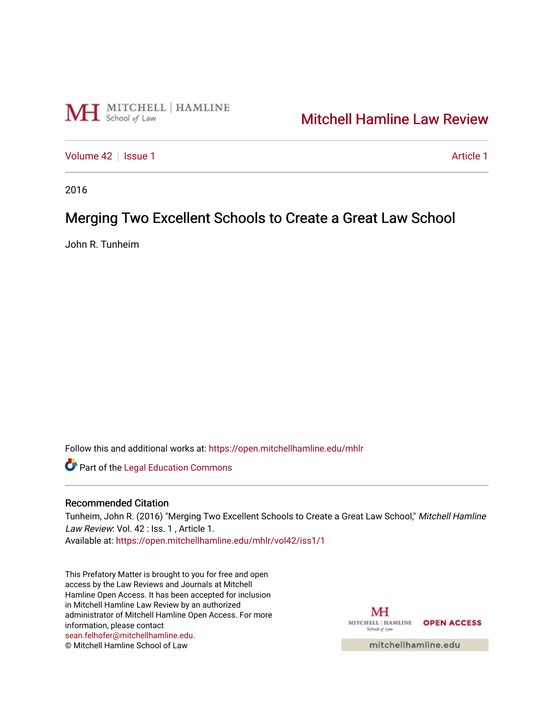

## [Mitchell Hamline Law Review](https://open.mitchellhamline.edu/mhlr)

[Volume 42](https://open.mitchellhamline.edu/mhlr/vol42) | [Issue 1](https://open.mitchellhamline.edu/mhlr/vol42/iss1) [Article 1](https://open.mitchellhamline.edu/mhlr/vol42/iss1/1) Article 1 Article 1 Article 1 Article 1 Article 1 Article 1

2016

# Merging Two Excellent Schools to Create a Great Law School

John R. Tunheim

Follow this and additional works at: [https://open.mitchellhamline.edu/mhlr](https://open.mitchellhamline.edu/mhlr?utm_source=open.mitchellhamline.edu%2Fmhlr%2Fvol42%2Fiss1%2F1&utm_medium=PDF&utm_campaign=PDFCoverPages) 

Part of the [Legal Education Commons](http://network.bepress.com/hgg/discipline/857?utm_source=open.mitchellhamline.edu%2Fmhlr%2Fvol42%2Fiss1%2F1&utm_medium=PDF&utm_campaign=PDFCoverPages) 

#### Recommended Citation

Tunheim, John R. (2016) "Merging Two Excellent Schools to Create a Great Law School," Mitchell Hamline Law Review: Vol. 42 : Iss. 1, Article 1.

Available at: [https://open.mitchellhamline.edu/mhlr/vol42/iss1/1](https://open.mitchellhamline.edu/mhlr/vol42/iss1/1?utm_source=open.mitchellhamline.edu%2Fmhlr%2Fvol42%2Fiss1%2F1&utm_medium=PDF&utm_campaign=PDFCoverPages) 

This Prefatory Matter is brought to you for free and open access by the Law Reviews and Journals at Mitchell Hamline Open Access. It has been accepted for inclusion in Mitchell Hamline Law Review by an authorized administrator of Mitchell Hamline Open Access. For more information, please contact [sean.felhofer@mitchellhamline.edu](mailto:sean.felhofer@mitchellhamline.edu). © Mitchell Hamline School of Law

MH MITCHELL | HAMLINE OPEN ACCESS School of Lav

mitchellhamline.edu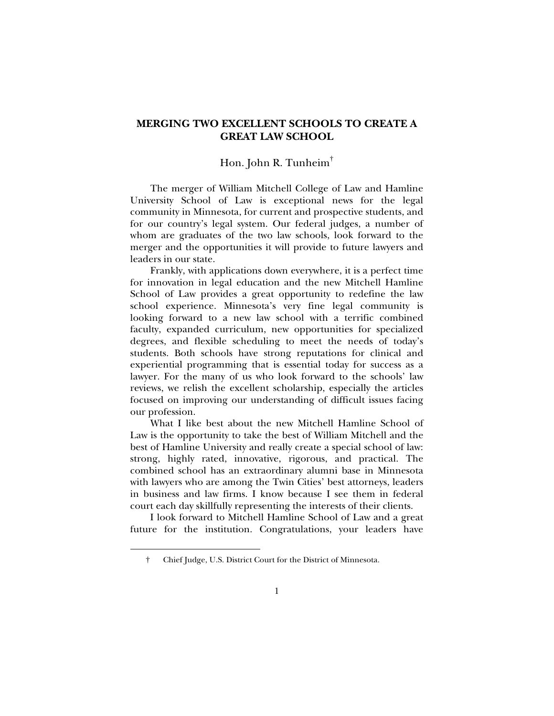### **MERGING TWO EXCELLENT SCHOOLS TO CREATE A GREAT LAW SCHOOL**

#### Hon. John R. Tunheim†

The merger of William Mitchell College of Law and Hamline University School of Law is exceptional news for the legal community in Minnesota, for current and prospective students, and for our country's legal system. Our federal judges, a number of whom are graduates of the two law schools, look forward to the merger and the opportunities it will provide to future lawyers and leaders in our state.

Frankly, with applications down everywhere, it is a perfect time for innovation in legal education and the new Mitchell Hamline School of Law provides a great opportunity to redefine the law school experience. Minnesota's very fine legal community is looking forward to a new law school with a terrific combined faculty, expanded curriculum, new opportunities for specialized degrees, and flexible scheduling to meet the needs of today's students. Both schools have strong reputations for clinical and experiential programming that is essential today for success as a lawyer. For the many of us who look forward to the schools' law reviews, we relish the excellent scholarship, especially the articles focused on improving our understanding of difficult issues facing our profession.

What I like best about the new Mitchell Hamline School of Law is the opportunity to take the best of William Mitchell and the best of Hamline University and really create a special school of law: strong, highly rated, innovative, rigorous, and practical. The combined school has an extraordinary alumni base in Minnesota with lawyers who are among the Twin Cities' best attorneys, leaders in business and law firms. I know because I see them in federal court each day skillfully representing the interests of their clients.

I look forward to Mitchell Hamline School of Law and a great future for the institution. Congratulations, your leaders have

j

 <sup>†</sup> Chief Judge, U.S. District Court for the District of Minnesota.